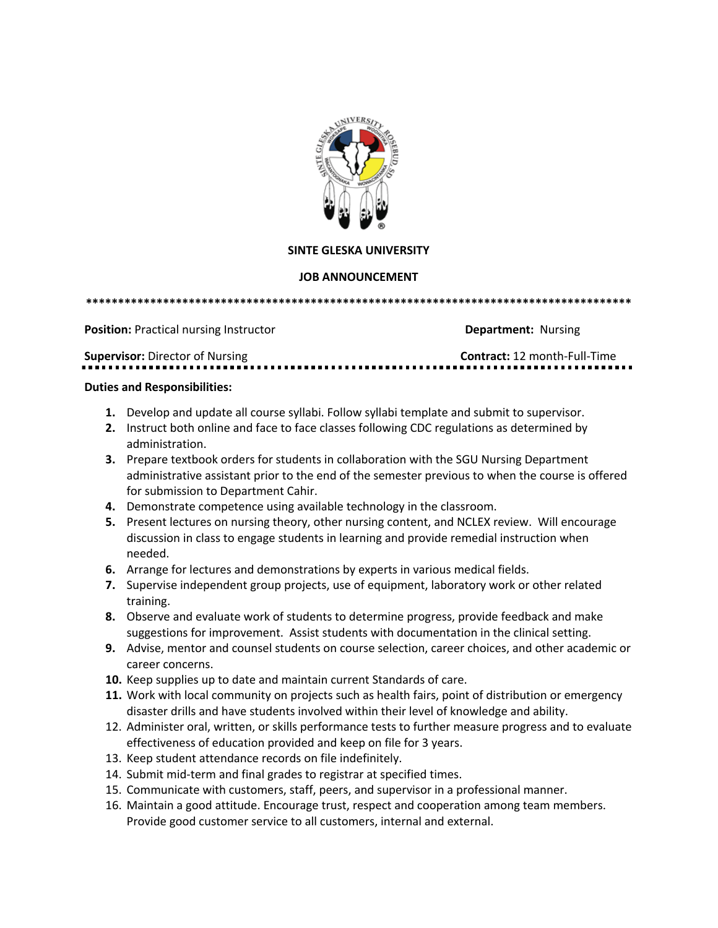

## **SINTE GLESKA UNIVERSITY**

## **JOB ANNOUNCEMENT**

**\*\*\*\*\*\*\*\*\*\*\*\*\*\*\*\*\*\*\*\*\*\*\*\*\*\*\*\*\*\*\*\*\*\*\*\*\*\*\*\*\*\*\*\*\*\*\*\*\*\*\*\*\*\*\*\*\*\*\*\*\*\*\*\*\*\*\*\*\*\*\*\*\*\*\*\*\*\*\*\*\*\*\*\*\***

**Position:** Practical nursing Instructor **Department:** Nursing

**Supervisor:** Director of Nursing **Contract: 12 month-Full-Time** 

## **Duties and Responsibilities:**

- **1.** Develop and update all course syllabi. Follow syllabi template and submit to supervisor.
- **2.** Instruct both online and face to face classes following CDC regulations as determined by administration.
- **3.** Prepare textbook orders for students in collaboration with the SGU Nursing Department administrative assistant prior to the end of the semester previous to when the course is offered for submission to Department Cahir.
- **4.** Demonstrate competence using available technology in the classroom.
- **5.** Present lectures on nursing theory, other nursing content, and NCLEX review. Will encourage discussion in class to engage students in learning and provide remedial instruction when needed.
- **6.** Arrange for lectures and demonstrations by experts in various medical fields.
- **7.** Supervise independent group projects, use of equipment, laboratory work or other related training.
- **8.** Observe and evaluate work of students to determine progress, provide feedback and make suggestions for improvement. Assist students with documentation in the clinical setting.
- **9.** Advise, mentor and counsel students on course selection, career choices, and other academic or career concerns.
- **10.** Keep supplies up to date and maintain current Standards of care.
- **11.** Work with local community on projects such as health fairs, point of distribution or emergency disaster drills and have students involved within their level of knowledge and ability.
- 12. Administer oral, written, or skills performance tests to further measure progress and to evaluate effectiveness of education provided and keep on file for 3 years.
- 13. Keep student attendance records on file indefinitely.
- 14. Submit mid-term and final grades to registrar at specified times.
- 15. Communicate with customers, staff, peers, and supervisor in a professional manner.
- 16. Maintain a good attitude. Encourage trust, respect and cooperation among team members. Provide good customer service to all customers, internal and external.